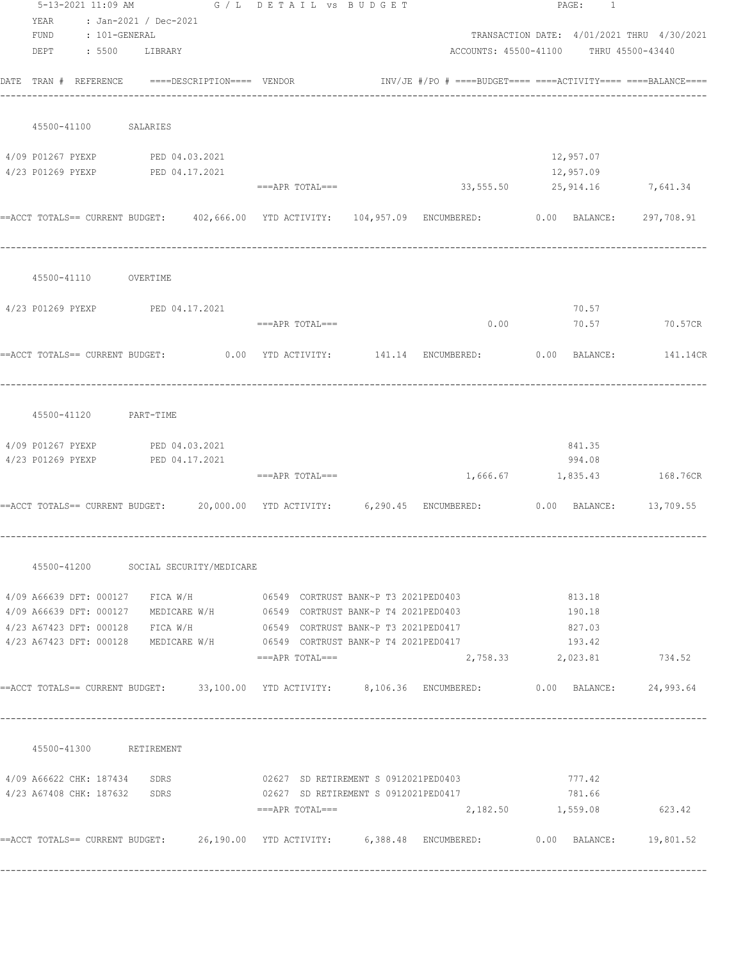|      |                |                                                                                                                                                                                                                                                                                                                                                                                                                                                        |                                                                                          |                                                                                                                         | PAGE: 1                                                                                                                                                                                           |                                                                                                                                                                                                                                                                                                                                                                                                                                                                                                                                                                                                                                                                                                                                                                                                                                                                                                                                                                                                                    |
|------|----------------|--------------------------------------------------------------------------------------------------------------------------------------------------------------------------------------------------------------------------------------------------------------------------------------------------------------------------------------------------------------------------------------------------------------------------------------------------------|------------------------------------------------------------------------------------------|-------------------------------------------------------------------------------------------------------------------------|---------------------------------------------------------------------------------------------------------------------------------------------------------------------------------------------------|--------------------------------------------------------------------------------------------------------------------------------------------------------------------------------------------------------------------------------------------------------------------------------------------------------------------------------------------------------------------------------------------------------------------------------------------------------------------------------------------------------------------------------------------------------------------------------------------------------------------------------------------------------------------------------------------------------------------------------------------------------------------------------------------------------------------------------------------------------------------------------------------------------------------------------------------------------------------------------------------------------------------|
| YEAR |                |                                                                                                                                                                                                                                                                                                                                                                                                                                                        |                                                                                          |                                                                                                                         |                                                                                                                                                                                                   |                                                                                                                                                                                                                                                                                                                                                                                                                                                                                                                                                                                                                                                                                                                                                                                                                                                                                                                                                                                                                    |
|      |                |                                                                                                                                                                                                                                                                                                                                                                                                                                                        |                                                                                          |                                                                                                                         |                                                                                                                                                                                                   |                                                                                                                                                                                                                                                                                                                                                                                                                                                                                                                                                                                                                                                                                                                                                                                                                                                                                                                                                                                                                    |
|      |                |                                                                                                                                                                                                                                                                                                                                                                                                                                                        |                                                                                          |                                                                                                                         |                                                                                                                                                                                                   |                                                                                                                                                                                                                                                                                                                                                                                                                                                                                                                                                                                                                                                                                                                                                                                                                                                                                                                                                                                                                    |
|      |                |                                                                                                                                                                                                                                                                                                                                                                                                                                                        |                                                                                          |                                                                                                                         |                                                                                                                                                                                                   |                                                                                                                                                                                                                                                                                                                                                                                                                                                                                                                                                                                                                                                                                                                                                                                                                                                                                                                                                                                                                    |
|      |                |                                                                                                                                                                                                                                                                                                                                                                                                                                                        |                                                                                          |                                                                                                                         |                                                                                                                                                                                                   |                                                                                                                                                                                                                                                                                                                                                                                                                                                                                                                                                                                                                                                                                                                                                                                                                                                                                                                                                                                                                    |
|      |                |                                                                                                                                                                                                                                                                                                                                                                                                                                                        |                                                                                          |                                                                                                                         |                                                                                                                                                                                                   |                                                                                                                                                                                                                                                                                                                                                                                                                                                                                                                                                                                                                                                                                                                                                                                                                                                                                                                                                                                                                    |
|      |                |                                                                                                                                                                                                                                                                                                                                                                                                                                                        |                                                                                          |                                                                                                                         |                                                                                                                                                                                                   |                                                                                                                                                                                                                                                                                                                                                                                                                                                                                                                                                                                                                                                                                                                                                                                                                                                                                                                                                                                                                    |
|      |                |                                                                                                                                                                                                                                                                                                                                                                                                                                                        |                                                                                          |                                                                                                                         |                                                                                                                                                                                                   |                                                                                                                                                                                                                                                                                                                                                                                                                                                                                                                                                                                                                                                                                                                                                                                                                                                                                                                                                                                                                    |
|      |                |                                                                                                                                                                                                                                                                                                                                                                                                                                                        |                                                                                          |                                                                                                                         |                                                                                                                                                                                                   |                                                                                                                                                                                                                                                                                                                                                                                                                                                                                                                                                                                                                                                                                                                                                                                                                                                                                                                                                                                                                    |
|      |                |                                                                                                                                                                                                                                                                                                                                                                                                                                                        |                                                                                          |                                                                                                                         |                                                                                                                                                                                                   | 297,708.91                                                                                                                                                                                                                                                                                                                                                                                                                                                                                                                                                                                                                                                                                                                                                                                                                                                                                                                                                                                                         |
|      |                |                                                                                                                                                                                                                                                                                                                                                                                                                                                        |                                                                                          |                                                                                                                         |                                                                                                                                                                                                   |                                                                                                                                                                                                                                                                                                                                                                                                                                                                                                                                                                                                                                                                                                                                                                                                                                                                                                                                                                                                                    |
|      |                |                                                                                                                                                                                                                                                                                                                                                                                                                                                        |                                                                                          |                                                                                                                         |                                                                                                                                                                                                   |                                                                                                                                                                                                                                                                                                                                                                                                                                                                                                                                                                                                                                                                                                                                                                                                                                                                                                                                                                                                                    |
|      |                |                                                                                                                                                                                                                                                                                                                                                                                                                                                        |                                                                                          |                                                                                                                         | 70.57                                                                                                                                                                                             |                                                                                                                                                                                                                                                                                                                                                                                                                                                                                                                                                                                                                                                                                                                                                                                                                                                                                                                                                                                                                    |
|      |                |                                                                                                                                                                                                                                                                                                                                                                                                                                                        |                                                                                          |                                                                                                                         |                                                                                                                                                                                                   | 70.57 70.57CR                                                                                                                                                                                                                                                                                                                                                                                                                                                                                                                                                                                                                                                                                                                                                                                                                                                                                                                                                                                                      |
|      |                |                                                                                                                                                                                                                                                                                                                                                                                                                                                        |                                                                                          |                                                                                                                         |                                                                                                                                                                                                   |                                                                                                                                                                                                                                                                                                                                                                                                                                                                                                                                                                                                                                                                                                                                                                                                                                                                                                                                                                                                                    |
|      |                |                                                                                                                                                                                                                                                                                                                                                                                                                                                        |                                                                                          |                                                                                                                         |                                                                                                                                                                                                   |                                                                                                                                                                                                                                                                                                                                                                                                                                                                                                                                                                                                                                                                                                                                                                                                                                                                                                                                                                                                                    |
|      |                |                                                                                                                                                                                                                                                                                                                                                                                                                                                        |                                                                                          |                                                                                                                         | 841.35                                                                                                                                                                                            |                                                                                                                                                                                                                                                                                                                                                                                                                                                                                                                                                                                                                                                                                                                                                                                                                                                                                                                                                                                                                    |
|      | PED 04.17.2021 |                                                                                                                                                                                                                                                                                                                                                                                                                                                        |                                                                                          |                                                                                                                         | 994.08                                                                                                                                                                                            |                                                                                                                                                                                                                                                                                                                                                                                                                                                                                                                                                                                                                                                                                                                                                                                                                                                                                                                                                                                                                    |
|      |                |                                                                                                                                                                                                                                                                                                                                                                                                                                                        |                                                                                          |                                                                                                                         |                                                                                                                                                                                                   |                                                                                                                                                                                                                                                                                                                                                                                                                                                                                                                                                                                                                                                                                                                                                                                                                                                                                                                                                                                                                    |
|      |                |                                                                                                                                                                                                                                                                                                                                                                                                                                                        |                                                                                          |                                                                                                                         |                                                                                                                                                                                                   |                                                                                                                                                                                                                                                                                                                                                                                                                                                                                                                                                                                                                                                                                                                                                                                                                                                                                                                                                                                                                    |
|      |                |                                                                                                                                                                                                                                                                                                                                                                                                                                                        |                                                                                          |                                                                                                                         |                                                                                                                                                                                                   |                                                                                                                                                                                                                                                                                                                                                                                                                                                                                                                                                                                                                                                                                                                                                                                                                                                                                                                                                                                                                    |
|      |                |                                                                                                                                                                                                                                                                                                                                                                                                                                                        |                                                                                          |                                                                                                                         | 813.18                                                                                                                                                                                            |                                                                                                                                                                                                                                                                                                                                                                                                                                                                                                                                                                                                                                                                                                                                                                                                                                                                                                                                                                                                                    |
|      |                |                                                                                                                                                                                                                                                                                                                                                                                                                                                        |                                                                                          |                                                                                                                         | 190.18                                                                                                                                                                                            |                                                                                                                                                                                                                                                                                                                                                                                                                                                                                                                                                                                                                                                                                                                                                                                                                                                                                                                                                                                                                    |
|      |                |                                                                                                                                                                                                                                                                                                                                                                                                                                                        |                                                                                          |                                                                                                                         | 827.03                                                                                                                                                                                            |                                                                                                                                                                                                                                                                                                                                                                                                                                                                                                                                                                                                                                                                                                                                                                                                                                                                                                                                                                                                                    |
|      |                |                                                                                                                                                                                                                                                                                                                                                                                                                                                        |                                                                                          |                                                                                                                         | 193.42                                                                                                                                                                                            |                                                                                                                                                                                                                                                                                                                                                                                                                                                                                                                                                                                                                                                                                                                                                                                                                                                                                                                                                                                                                    |
|      |                |                                                                                                                                                                                                                                                                                                                                                                                                                                                        |                                                                                          |                                                                                                                         |                                                                                                                                                                                                   | 734.52                                                                                                                                                                                                                                                                                                                                                                                                                                                                                                                                                                                                                                                                                                                                                                                                                                                                                                                                                                                                             |
|      |                |                                                                                                                                                                                                                                                                                                                                                                                                                                                        |                                                                                          |                                                                                                                         |                                                                                                                                                                                                   |                                                                                                                                                                                                                                                                                                                                                                                                                                                                                                                                                                                                                                                                                                                                                                                                                                                                                                                                                                                                                    |
|      |                |                                                                                                                                                                                                                                                                                                                                                                                                                                                        |                                                                                          |                                                                                                                         |                                                                                                                                                                                                   |                                                                                                                                                                                                                                                                                                                                                                                                                                                                                                                                                                                                                                                                                                                                                                                                                                                                                                                                                                                                                    |
|      |                |                                                                                                                                                                                                                                                                                                                                                                                                                                                        |                                                                                          |                                                                                                                         |                                                                                                                                                                                                   |                                                                                                                                                                                                                                                                                                                                                                                                                                                                                                                                                                                                                                                                                                                                                                                                                                                                                                                                                                                                                    |
|      |                |                                                                                                                                                                                                                                                                                                                                                                                                                                                        |                                                                                          |                                                                                                                         |                                                                                                                                                                                                   |                                                                                                                                                                                                                                                                                                                                                                                                                                                                                                                                                                                                                                                                                                                                                                                                                                                                                                                                                                                                                    |
|      |                |                                                                                                                                                                                                                                                                                                                                                                                                                                                        |                                                                                          |                                                                                                                         |                                                                                                                                                                                                   | 623.42                                                                                                                                                                                                                                                                                                                                                                                                                                                                                                                                                                                                                                                                                                                                                                                                                                                                                                                                                                                                             |
|      |                |                                                                                                                                                                                                                                                                                                                                                                                                                                                        |                                                                                          |                                                                                                                         |                                                                                                                                                                                                   |                                                                                                                                                                                                                                                                                                                                                                                                                                                                                                                                                                                                                                                                                                                                                                                                                                                                                                                                                                                                                    |
|      |                | : Jan-2021 / Dec-2021<br>FUND : 101-GENERAL<br>DEPT : 5500 LIBRARY<br>45500-41100 SALARIES<br>4/09 P01267 PYEXP PED 04.03.2021<br>4/23 P01269 PYEXP PED 04.17.2021<br>45500-41110 OVERTIME<br>4/23 P01269 PYEXP PED 04.17.2021<br>45500-41120 PART-TIME<br>4/09 P01267 PYEXP PED 04.03.2021<br>4/23 P01269 PYEXP<br>4/23 A67423 DFT: 000128 FICA W/H<br>4/23 A67423 DFT: 000128 MEDICARE W/H<br>45500-41300 RETIREMENT<br>4/23 A67408 CHK: 187632 SDRS | DATE TRAN # REFERENCE ====DESCRIPTION==== VENDOR<br>45500-41200 SOCIAL SECURITY/MEDICARE | 5-13-2021 11:09 AM G / L DETAIL VS BUDGET<br>===APR TOTAL===<br>$==APR$ $TOTAL==$<br>===APR TOTAL===<br>===APR TOTAL=== | 4/09 A66639 DFT: 000127 MEDICARE W/H 06549 CORTRUST BANK~P T4 2021PED0403<br>06549 CORTRUST BANK~P T3 2021PED0417<br>06549 CORTRUST BANK~P T4 2021PED0417<br>02627 SD RETIREMENT S 0912021PED0417 | TRANSACTION DATE: 4/01/2021 THRU 4/30/2021<br>ACCOUNTS: 45500-41100 THRU 45500-43440<br>$INV/JE$ #/PO # ====BUDGET==== ====ACTIVITY==== ====BALANCE====<br>12,957.07<br>12,957.09<br>===APR TOTAL=== $33,555.50$ 25,914.16 $7,641.34$<br>==ACCT TOTALS== CURRENT BUDGET: 402,666.00 YTD ACTIVITY: 104,957.09 ENCUMBERED: 0.00 BALANCE:<br>0.00<br>==ACCT TOTALS== CURRENT BUDGET: 0.00 YTD ACTIVITY: 141.14 ENCUMBERED: 0.00 BALANCE: 141.14CR<br>1,666.67 1,835.43 168.76CR<br>==ACCT TOTALS== CURRENT BUDGET: 20,000.00 YTD ACTIVITY: 6,290.45 ENCUMBERED: 0.00 BALANCE: 13,709.55<br>$4/09$ A66639 DFT: 000127 FICA W/H 6549 CORTRUST BANK~P T3 2021PED0403<br>2,758.33 2,023.81<br>==ACCT_TOTALS==_CURRENT_BUDGET: 33,100.00 YTD_ACTIVITY: 8,106.36 ENCUMBERED: 0.00 BALANCE: 24,993.64<br>4/09 A66622 CHK: 187434 SDRS 602627 SD RETIREMENT S 0912021PED0403<br>777.42<br>781.66<br>2,182.50 1,559.08<br>==ACCT TOTALS== CURRENT BUDGET: 26,190.00 YTD ACTIVITY: 6,388.48 ENCUMBERED: 0.00 BALANCE: 19,801.52 |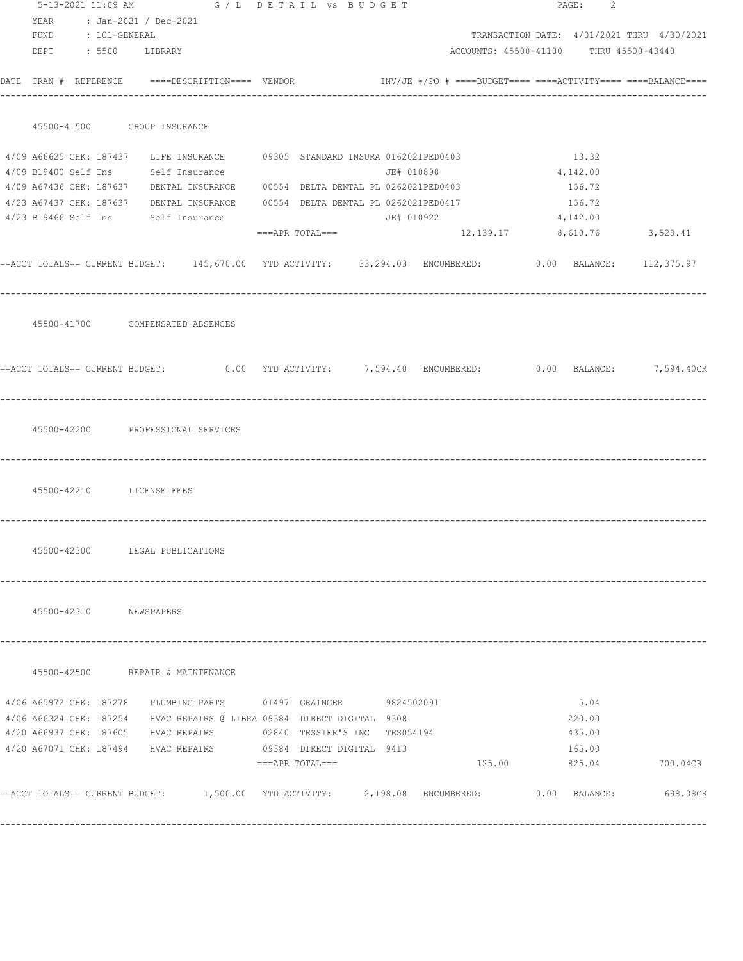|                    |  | 5-13-2021 11:09 AM G / L DETAIL VS BUDGET                                                                    |                                                |            |                                        | PAGE: 2       |                                            |
|--------------------|--|--------------------------------------------------------------------------------------------------------------|------------------------------------------------|------------|----------------------------------------|---------------|--------------------------------------------|
| YEAR               |  | : Jan-2021 / Dec-2021                                                                                        |                                                |            |                                        |               |                                            |
| FUND : 101-GENERAL |  |                                                                                                              |                                                |            |                                        |               | TRANSACTION DATE: 4/01/2021 THRU 4/30/2021 |
|                    |  | DEPT : 5500 LIBRARY                                                                                          |                                                |            | ACCOUNTS: 45500-41100 THRU 45500-43440 |               |                                            |
|                    |  | DATE TRAN # REFERENCE ====DESCRIPTION==== VENDOR NOTE: #/PO # ====BUDGET==== ====ACTIVITY==== ===BALANCE==== |                                                |            |                                        |               |                                            |
|                    |  | 45500-41500 GROUP INSURANCE                                                                                  |                                                |            |                                        |               |                                            |
|                    |  | 4/09 A66625 CHK: 187437 LIFE INSURANCE 09305 STANDARD INSURA 0162021PED0403                                  |                                                |            |                                        | 13.32         |                                            |
|                    |  | 4/09 B19400 Self Ins Self Insurance                                                                          |                                                | JE# 010898 |                                        | 4,142.00      |                                            |
|                    |  | 4/09 A67436 CHK: 187637 DENTAL INSURANCE 00554 DELTA DENTAL PL 0262021PED0403                                |                                                |            |                                        | 156.72        |                                            |
|                    |  | 4/23 A67437 CHK: 187637 DENTAL INSURANCE 00554 DELTA DENTAL PL 0262021PED0417 156.72                         |                                                |            |                                        |               |                                            |
|                    |  | 4/23 B19466 Self Ins Self Insurance                                                                          |                                                |            | $JE# 010922$ 4, 142.00                 |               |                                            |
|                    |  |                                                                                                              | $==APR$ TOTAL=== $12,139.17$ 8,610.76 3,528.41 |            |                                        |               |                                            |
|                    |  | ==ACCT TOTALS== CURRENT BUDGET: 145,670.00 YTD ACTIVITY: 33,294.03 ENCUMBERED: 0.00 BALANCE: 112,375.97      |                                                |            |                                        |               |                                            |
|                    |  | 45500-41700 COMPENSATED ABSENCES                                                                             |                                                |            |                                        |               |                                            |
|                    |  | ==ACCT TOTALS== CURRENT BUDGET: 0.00 YTD ACTIVITY: 7,594.40 ENCUMBERED: 0.00 BALANCE: 7,594.40CR             |                                                |            |                                        |               |                                            |
|                    |  | 45500-42200 PROFESSIONAL SERVICES                                                                            |                                                |            |                                        |               |                                            |
|                    |  | 45500-42210 LICENSE FEES                                                                                     |                                                |            |                                        |               |                                            |
|                    |  | 45500-42300 LEGAL PUBLICATIONS                                                                               |                                                |            |                                        |               |                                            |
|                    |  | 45500-42310 NEWSPAPERS                                                                                       |                                                |            |                                        |               |                                            |
|                    |  | 45500-42500 REPAIR & MAINTENANCE                                                                             |                                                |            |                                        |               |                                            |
|                    |  | 4/06 A65972 CHK: 187278 PLUMBING PARTS 01497 GRAINGER 9824502091                                             |                                                |            |                                        | 5.04          |                                            |
|                    |  | 4/06 A66324 CHK: 187254 HVAC REPAIRS @ LIBRA 09384 DIRECT DIGITAL 9308                                       |                                                |            |                                        | 220.00        |                                            |
|                    |  | 4/20 A66937 CHK: 187605 HVAC REPAIRS 02840 TESSIER'S INC TES054194                                           |                                                |            |                                        | 435.00        |                                            |
|                    |  | 4/20 A67071 CHK: 187494 HVAC REPAIRS 69384 DIRECT DIGITAL 9413                                               |                                                |            |                                        | 165.00        |                                            |
|                    |  |                                                                                                              | ===APR TOTAL===                                |            |                                        | 125.00 825.04 | 700.04CR                                   |
|                    |  | ==ACCT_TOTALS==_CURRENT_BUDGET:     1,500.00  YTD_ACTIVITY:     2,198.08  ENCUMBERED:       0.00  BALANCE:   |                                                |            |                                        |               | 698.08CR                                   |
|                    |  |                                                                                                              |                                                |            |                                        |               |                                            |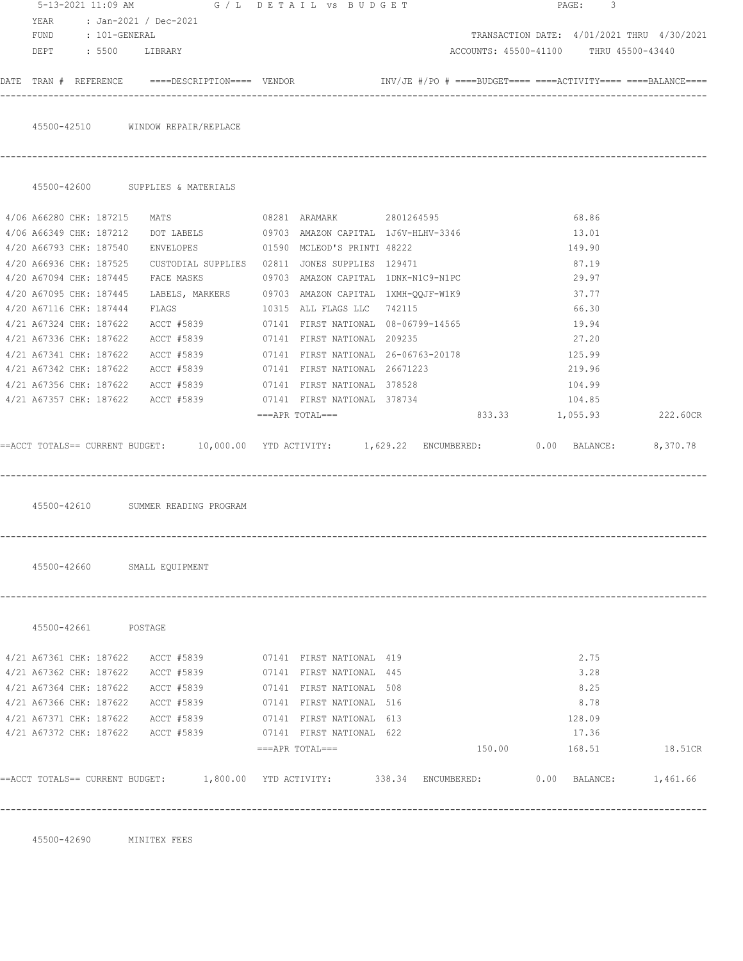|                                    |                                                                                                                 |                                                     |                                            | 3<br>PAGE: |          |
|------------------------------------|-----------------------------------------------------------------------------------------------------------------|-----------------------------------------------------|--------------------------------------------|------------|----------|
| YEAR                               | : Jan-2021 / Dec-2021                                                                                           |                                                     |                                            |            |          |
| FUND<br>: 101-GENERAL              |                                                                                                                 |                                                     | TRANSACTION DATE: 4/01/2021 THRU 4/30/2021 |            |          |
| DEPT : 5500 LIBRARY                |                                                                                                                 |                                                     | ACCOUNTS: 45500-41100 THRU 45500-43440     |            |          |
|                                    | DATE TRAN # REFERENCE ====DESCRIPTION==== VENDOR $INVJE$ #/PO # ====BUDGET==== ====ACTIVITY==== ====BALANCE==== |                                                     |                                            |            |          |
|                                    | 45500-42510 WINDOW REPAIR/REPLACE                                                                               |                                                     |                                            |            |          |
|                                    |                                                                                                                 |                                                     |                                            |            |          |
|                                    | 45500-42600 SUPPLIES & MATERIALS                                                                                |                                                     |                                            |            |          |
| 4/06 A66280 CHK: 187215            | <b>MATS</b>                                                                                                     | 08281 ARAMARK 2801264595                            |                                            | 68.86      |          |
| 4/06 A66349 CHK: 187212            | DOT LABELS                                                                                                      | 09703 AMAZON CAPITAL 1J6V-HLHV-3346                 |                                            | 13.01      |          |
| 4/20 A66793 CHK: 187540            |                                                                                                                 | ENVELOPES 01590 MCLEOD'S PRINTI 48222               |                                            | 149.90     |          |
| 4/20 A66936 CHK: 187525            |                                                                                                                 | CUSTODIAL SUPPLIES 02811 JONES SUPPLIES 129471      |                                            | 87.19      |          |
| 4/20 A67094 CHK: 187445            |                                                                                                                 | FACE MASKS 69703 AMAZON CAPITAL 1DNK-N1C9-N1PC      |                                            | 29.97      |          |
| 4/20 A67095 CHK: 187445            |                                                                                                                 | LABELS, MARKERS 09703 AMAZON CAPITAL 1XMH-QQJF-W1K9 |                                            | 37.77      |          |
| 4/20 A67116 CHK: 187444            |                                                                                                                 | FLAGS 10315 ALL FLAGS LLC 742115                    |                                            | 66.30      |          |
| 4/21 A67324 CHK: 187622            |                                                                                                                 | ACCT #5839 07141 FIRST NATIONAL 08-06799-14565      |                                            | 19.94      |          |
| 4/21 A67336 CHK: 187622            |                                                                                                                 | ACCT #5839 07141 FIRST NATIONAL 209235              |                                            | 27.20      |          |
| 4/21 A67341 CHK: 187622            | ACCT #5839                                                                                                      | 07141 FIRST NATIONAL 26-06763-20178                 |                                            | 125.99     |          |
| 4/21 A67342 CHK: 187622            | ACCT #5839                                                                                                      | 07141 FIRST NATIONAL 26671223                       |                                            | 219.96     |          |
| 4/21 A67356 CHK: 187622            | ACCT #5839                                                                                                      | 07141 FIRST NATIONAL 378528                         |                                            | 104.99     |          |
|                                    | 4/21 A67357 CHK: 187622 ACCT #5839                                                                              | 07141 FIRST NATIONAL 378734                         |                                            | 104.85     |          |
|                                    |                                                                                                                 | ===APR TOTAL===                                     | 833.33 1,055.93                            |            | 222.60CR |
|                                    | ==ACCT TOTALS== CURRENT BUDGET: 10,000.00 YTD ACTIVITY: 1,629.22 ENCUMBERED: 0.00 BALANCE: 8,370.78             |                                                     |                                            |            |          |
|                                    | 45500-42610 SUMMER READING PROGRAM                                                                              |                                                     |                                            |            |          |
| 45500-42660 SMALL EQUIPMENT        |                                                                                                                 |                                                     |                                            |            |          |
| 45500-42661 POSTAGE                |                                                                                                                 |                                                     |                                            |            |          |
| 4/21 A67361 CHK: 187622            |                                                                                                                 | ACCT #5839 07141 FIRST NATIONAL 419                 |                                            | 2.75       |          |
| 4/21 A67362 CHK: 187622            |                                                                                                                 | ACCT #5839 07141 FIRST NATIONAL 445                 |                                            | 3.28       |          |
| 4/21 A67364 CHK: 187622            |                                                                                                                 | ACCT #5839 07141 FIRST NATIONAL 508                 |                                            | 8.25       |          |
| 4/21 A67366 CHK: 187622            |                                                                                                                 | ACCT #5839 07141 FIRST NATIONAL 516                 |                                            | 8.78       |          |
| 4/21 A67371 CHK: 187622            | ACCT #5839                                                                                                      | 07141 FIRST NATIONAL 613                            |                                            | 128.09     |          |
| 4/21 A67372 CHK: 187622 ACCT #5839 |                                                                                                                 | 07141 FIRST NATIONAL 622                            |                                            | 17.36      |          |
|                                    |                                                                                                                 | $===APR$ $TOTAL==$                                  | 150.00                                     | 168.51     | 18.51CR  |
|                                    |                                                                                                                 |                                                     |                                            |            |          |

45500-42690 MINITEX FEES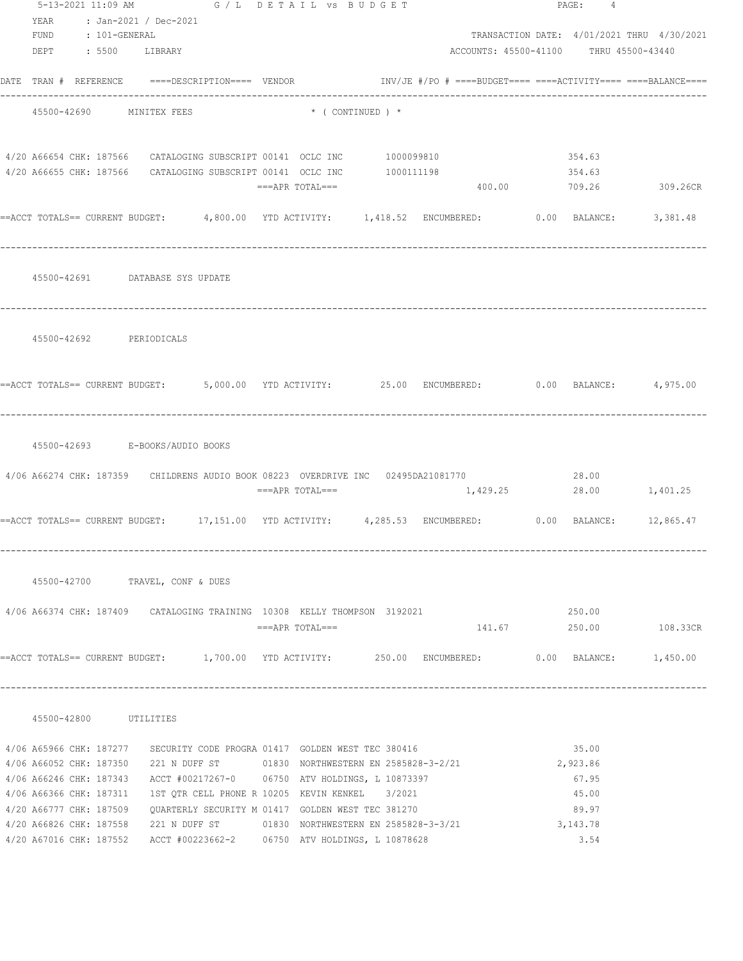|                            | 5-13-2021 11:09 AM G / L DETAIL VS BUDGET                                                                                |                               |  | PAGE: 4                                    |  |
|----------------------------|--------------------------------------------------------------------------------------------------------------------------|-------------------------------|--|--------------------------------------------|--|
| YEAR : Jan-2021 / Dec-2021 |                                                                                                                          |                               |  |                                            |  |
| FUND : 101-GENERAL         |                                                                                                                          |                               |  | TRANSACTION DATE: 4/01/2021 THRU 4/30/2021 |  |
| DEPT : 5500 LIBRARY        |                                                                                                                          |                               |  | ACCOUNTS: 45500-41100 THRU 45500-43440     |  |
|                            | DATE TRAN # REFERENCE ====DESCRIPTION==== VENDOR           INV/JE #/PO # ====BUDGET==== ====ACTIVITY==== ====BALANCE==== |                               |  |                                            |  |
| 45500-42690 MINITEX FEES   |                                                                                                                          | $\star$ ( CONTINUED ) $\star$ |  |                                            |  |
|                            |                                                                                                                          |                               |  |                                            |  |
|                            | 4/20 A66654 CHK: 187566 CATALOGING SUBSCRIPT 00141 OCLC INC 1000099810                                                   |                               |  | 354.63                                     |  |
|                            | 4/20 A66655 CHK: 187566 CATALOGING SUBSCRIPT 00141 OCLC INC 1000111198                                                   |                               |  | 354.63                                     |  |
|                            |                                                                                                                          | ===APR TOTAL===               |  | 400.00 709.26 309.26CR                     |  |
|                            | ==ACCT TOTALS== CURRENT BUDGET: 4,800.00 YTD ACTIVITY: 1,418.52 ENCUMBERED: 0.00 BALANCE: 3,381.48                       |                               |  |                                            |  |
|                            |                                                                                                                          |                               |  |                                            |  |
|                            | 45500-42691 DATABASE SYS UPDATE                                                                                          |                               |  |                                            |  |
|                            |                                                                                                                          |                               |  |                                            |  |
|                            |                                                                                                                          |                               |  |                                            |  |
| 45500-42692 PERIODICALS    |                                                                                                                          |                               |  |                                            |  |
|                            |                                                                                                                          |                               |  |                                            |  |
|                            | ==ACCT TOTALS== CURRENT BUDGET: 5,000.00 YTD ACTIVITY: 25.00 ENCUMBERED: 0.00 BALANCE: 4,975.00                          |                               |  |                                            |  |
|                            |                                                                                                                          |                               |  |                                            |  |
|                            |                                                                                                                          |                               |  |                                            |  |
|                            | 45500-42693 E-BOOKS/AUDIO BOOKS                                                                                          |                               |  |                                            |  |
|                            |                                                                                                                          |                               |  |                                            |  |
|                            | 4/06 A66274 CHK: 187359 CHILDRENS AUDIO BOOK 08223 OVERDRIVE INC 02495DA21081770                                         | ===APR TOTAL===               |  | 28.00<br>1,429.25 28.00 1,401.25           |  |
|                            |                                                                                                                          |                               |  |                                            |  |
|                            | ==ACCT TOTALS== CURRENT BUDGET: 17,151.00 YTD ACTIVITY: 4,285.53 ENCUMBERED: 0.00 BALANCE: 12,865.47                     |                               |  |                                            |  |
|                            |                                                                                                                          |                               |  |                                            |  |
|                            |                                                                                                                          |                               |  |                                            |  |
|                            | 45500-42700 TRAVEL, CONF & DUES                                                                                          |                               |  |                                            |  |
|                            | 4/06 A66374 CHK: 187409 CATALOGING TRAINING 10308 KELLY THOMPSON 3192021                                                 |                               |  | 250.00                                     |  |
|                            |                                                                                                                          | ===APR TOTAL===               |  | 141.67 250.00 108.33CR                     |  |
|                            |                                                                                                                          |                               |  |                                            |  |
|                            | ==ACCT TOTALS== CURRENT BUDGET: 1,700.00 YTD ACTIVITY: 250.00 ENCUMBERED: 0.00 BALANCE: 1,450.00                         |                               |  |                                            |  |
|                            |                                                                                                                          |                               |  |                                            |  |
| 45500-42800 UTILITIES      |                                                                                                                          |                               |  |                                            |  |
|                            | 4/06 A65966 CHK: 187277 SECURITY CODE PROGRA 01417 GOLDEN WEST TEC 380416                                                |                               |  | 35.00                                      |  |
|                            | 4/06 A66052 CHK: 187350 221 N DUFF ST 01830 NORTHWESTERN EN 2585828-3-2/21                                               |                               |  | 2,923.86                                   |  |
|                            | 4/06 A66246 CHK: 187343 ACCT #00217267-0 06750 ATV HOLDINGS, L 10873397                                                  |                               |  | 67.95                                      |  |
|                            | 4/06 A66366 CHK: 187311 1ST QTR CELL PHONE R 10205 KEVIN KENKEL 3/2021                                                   |                               |  | 45.00                                      |  |
|                            | 4/20 A66777 CHK: 187509 QUARTERLY SECURITY M 01417 GOLDEN WEST TEC 381270                                                |                               |  | 89.97                                      |  |
|                            | 4/20 A66826 CHK: 187558 221 N DUFF ST 01830 NORTHWESTERN EN 2585828-3-3/21                                               |                               |  | 3, 143. 78<br>3.54                         |  |
|                            | 4/20 A67016 CHK: 187552 ACCT #00223662-2 06750 ATV HOLDINGS, L 10878628                                                  |                               |  |                                            |  |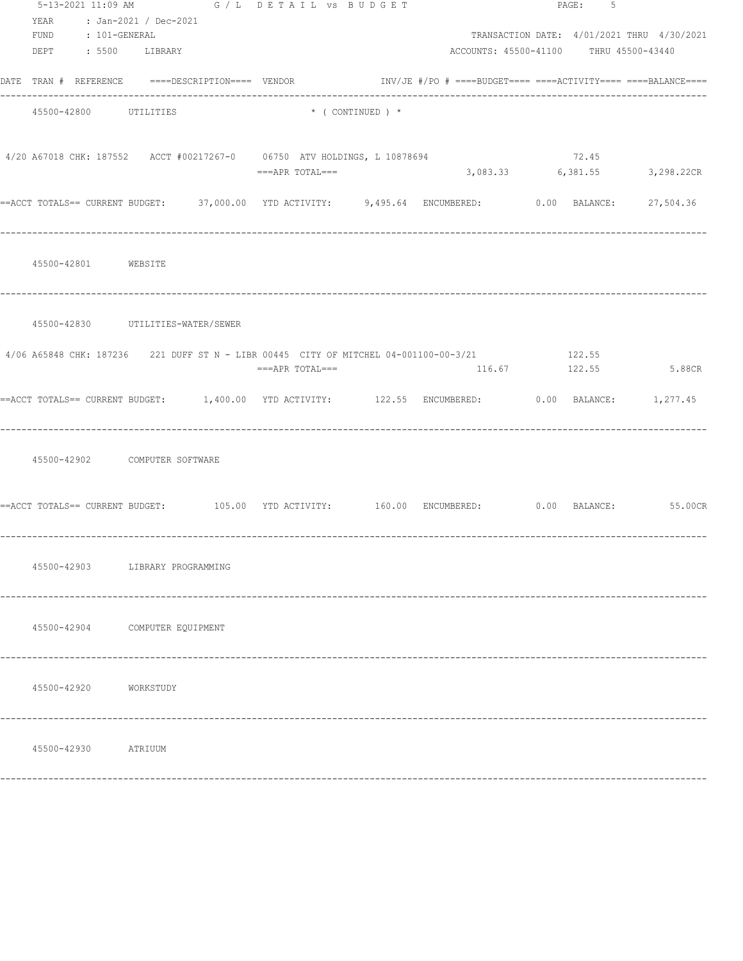|                            | 5-13-2021 11:09 AM G / L DETAIL VS BUDGET                                                                                                   |                 |                               |                                        | PAGE: 5 |                                            |
|----------------------------|---------------------------------------------------------------------------------------------------------------------------------------------|-----------------|-------------------------------|----------------------------------------|---------|--------------------------------------------|
| YEAR : Jan-2021 / Dec-2021 |                                                                                                                                             |                 |                               |                                        |         |                                            |
| FUND : 101-GENERAL         |                                                                                                                                             |                 |                               |                                        |         | TRANSACTION DATE: 4/01/2021 THRU 4/30/2021 |
| DEPT : 5500 LIBRARY        |                                                                                                                                             |                 |                               | ACCOUNTS: 45500-41100 THRU 45500-43440 |         |                                            |
|                            | DATE TRAN # REFERENCE ====DESCRIPTION==== VENDOR                              INV/JE #/PO # ====BUDGET==== ====ACTIVITY==== ====BALANCE==== |                 |                               |                                        |         |                                            |
| 45500-42800 UTILITIES      |                                                                                                                                             |                 | $\star$ ( CONTINUED ) $\star$ |                                        |         |                                            |
|                            | 4/20 A67018 CHK: 187552 ACCT #00217267-0 06750 ATV HOLDINGS, L 10878694                                                                     |                 |                               |                                        | 72.45   |                                            |
|                            |                                                                                                                                             | ===APR TOTAL=== |                               |                                        |         | 3,083.33 6,381.55 3,298.22CR               |
|                            | ==ACCT TOTALS== CURRENT BUDGET: 37,000.00 YTD ACTIVITY: 9,495.64 ENCUMBERED: 0.00 BALANCE: 27,504.36                                        |                 |                               |                                        |         |                                            |
| 45500-42801 WEBSITE        |                                                                                                                                             |                 |                               |                                        |         |                                            |
|                            | 45500-42830 UTILITIES-WATER/SEWER                                                                                                           |                 |                               |                                        |         |                                            |
|                            | 4/06 A65848 CHK: 187236 221 DUFF ST N - LIBR 00445 CITY OF MITCHEL 04-001100-00-3/21                                                        | ===APR TOTAL=== |                               | 116.67                                 | 122.55  | 122.55 5.88CR                              |
|                            | ==ACCT TOTALS== CURRENT BUDGET: 1,400.00 YTD ACTIVITY: 122.55 ENCUMBERED: 0.00 BALANCE: 1,277.45                                            |                 |                               |                                        |         |                                            |
|                            | 45500-42902 COMPUTER SOFTWARE                                                                                                               |                 |                               |                                        |         |                                            |
|                            | ==ACCT TOTALS== CURRENT BUDGET: 105.00 YTD ACTIVITY: 160.00 ENCUMBERED: 0.00 BALANCE: 55.00CR                                               |                 |                               |                                        |         |                                            |
|                            | 45500-42903 LIBRARY PROGRAMMING                                                                                                             |                 |                               |                                        |         |                                            |
|                            | 45500-42904 COMPUTER EQUIPMENT                                                                                                              |                 |                               |                                        |         |                                            |
| 45500-42920                | WORKSTUDY                                                                                                                                   |                 |                               |                                        |         |                                            |
| 45500-42930                | ATRIUUM                                                                                                                                     |                 |                               |                                        |         |                                            |
|                            |                                                                                                                                             |                 |                               |                                        |         |                                            |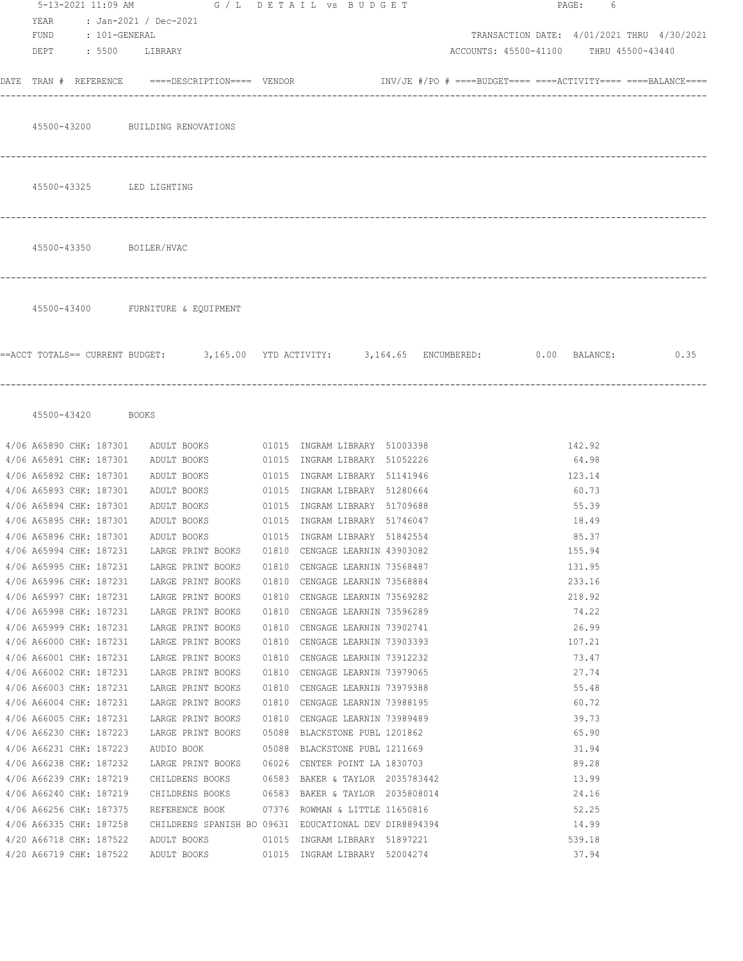|      | 5-13-2021 11:09 AM                                 | G / L DETAIL VS BUDGET                                                    |       |                                                                | PAGE:<br>6                                                                                     |
|------|----------------------------------------------------|---------------------------------------------------------------------------|-------|----------------------------------------------------------------|------------------------------------------------------------------------------------------------|
| YEAR |                                                    | : Jan-2021 / Dec-2021                                                     |       |                                                                |                                                                                                |
|      | FUND : 101-GENERAL                                 |                                                                           |       |                                                                | TRANSACTION DATE: 4/01/2021 THRU 4/30/2021                                                     |
|      |                                                    | DEPT : 5500 LIBRARY                                                       |       |                                                                | ACCOUNTS: 45500-41100 THRU 45500-43440                                                         |
|      |                                                    |                                                                           |       |                                                                |                                                                                                |
|      |                                                    | DATE    TRAN   #     REFERENCE             ====DESCRIPTION====     VENDOR |       |                                                                | $\text{INV}/\text{JE}$ #/PO # ====BUDGET==== ====ACTIVITY==== ====BALANCE====                  |
|      |                                                    | 45500-43200 BUILDING RENOVATIONS                                          |       |                                                                |                                                                                                |
|      |                                                    |                                                                           |       |                                                                |                                                                                                |
|      |                                                    | 45500-43325 LED LIGHTING                                                  |       |                                                                |                                                                                                |
|      |                                                    |                                                                           |       |                                                                |                                                                                                |
|      |                                                    | 45500-43350 BOILER/HVAC                                                   |       |                                                                |                                                                                                |
|      |                                                    | 45500-43400 FURNITURE & EQUIPMENT                                         |       |                                                                |                                                                                                |
|      |                                                    |                                                                           |       |                                                                |                                                                                                |
|      |                                                    |                                                                           |       |                                                                | ==ACCT TOTALS== CURRENT BUDGET: 3,165.00 YTD ACTIVITY: 3,164.65 ENCUMBERED: 0.00 BALANCE: 0.35 |
|      | 45500-43420 BOOKS                                  |                                                                           |       |                                                                |                                                                                                |
|      |                                                    |                                                                           |       |                                                                |                                                                                                |
|      | 4/06 A65890 CHK: 187301                            | ADULT BOOKS                                                               |       | 01015 INGRAM LIBRARY 51003398                                  | 142.92                                                                                         |
|      | 4/06 A65891 CHK: 187301                            | ADULT BOOKS                                                               |       | 01015 INGRAM LIBRARY 51052226                                  | 64.98                                                                                          |
|      | 4/06 A65892 CHK: 187301                            | ADULT BOOKS                                                               |       | 01015 INGRAM LIBRARY 51141946                                  | 123.14                                                                                         |
|      | 4/06 A65893 CHK: 187301                            | ADULT BOOKS                                                               |       | 01015 INGRAM LIBRARY 51280664                                  | 60.73                                                                                          |
|      | 4/06 A65894 CHK: 187301                            | ADULT BOOKS                                                               | 01015 | INGRAM LIBRARY 51709688                                        | 55.39                                                                                          |
|      | 4/06 A65895 CHK: 187301                            | ADULT BOOKS                                                               |       | 01015 INGRAM LIBRARY 51746047                                  | 18.49                                                                                          |
|      | 4/06 A65896 CHK: 187301                            | ADULT BOOKS                                                               |       | 01015 INGRAM LIBRARY 51842554                                  | 85.37                                                                                          |
|      | 4/06 A65994 CHK: 187231                            | LARGE PRINT BOOKS                                                         | 01810 | CENGAGE LEARNIN 43903082                                       | 155.94                                                                                         |
|      | 4/06 A65995 CHK: 187231                            | LARGE PRINT BOOKS                                                         | 01810 | CENGAGE LEARNIN 73568487                                       | 131.95                                                                                         |
|      | 4/06 A65996 CHK: 187231                            | LARGE PRINT BOOKS                                                         |       | 01810 CENGAGE LEARNIN 73568884                                 | 233.16                                                                                         |
|      | 4/06 A65997 CHK: 187231                            | LARGE PRINT BOOKS                                                         |       | 01810 CENGAGE LEARNIN 73569282                                 | 218.92                                                                                         |
|      | 4/06 A65998 CHK: 187231                            | LARGE PRINT BOOKS                                                         |       | 01810 CENGAGE LEARNIN 73596289                                 | 74.22                                                                                          |
|      | 4/06 A65999 CHK: 187231                            | LARGE PRINT BOOKS                                                         |       | 01810 CENGAGE LEARNIN 73902741                                 | 26.99                                                                                          |
|      | 4/06 A66000 CHK: 187231                            | LARGE PRINT BOOKS                                                         | 01810 | CENGAGE LEARNIN 73903393                                       | 107.21                                                                                         |
|      | 4/06 A66001 CHK: 187231                            | LARGE PRINT BOOKS                                                         | 01810 | CENGAGE LEARNIN 73912232                                       | 73.47                                                                                          |
|      | 4/06 A66002 CHK: 187231                            | LARGE PRINT BOOKS                                                         | 01810 | CENGAGE LEARNIN 73979065                                       | 27.74                                                                                          |
|      | 4/06 A66003 CHK: 187231<br>4/06 A66004 CHK: 187231 | LARGE PRINT BOOKS<br>LARGE PRINT BOOKS                                    |       | 01810 CENGAGE LEARNIN 73979388                                 | 55.48<br>60.72                                                                                 |
|      |                                                    |                                                                           | 01810 | CENGAGE LEARNIN 73988195                                       |                                                                                                |
|      | 4/06 A66005 CHK: 187231                            | LARGE PRINT BOOKS                                                         |       | 01810 CENGAGE LEARNIN 73989489                                 | 39.73                                                                                          |
|      | 4/06 A66230 CHK: 187223<br>4/06 A66231 CHK: 187223 | LARGE PRINT BOOKS<br>AUDIO BOOK                                           |       | 05088 BLACKSTONE PUBL 1201862<br>05088 BLACKSTONE PUBL 1211669 | 65.90<br>31.94                                                                                 |
|      | 4/06 A66238 CHK: 187232                            | LARGE PRINT BOOKS                                                         |       | 06026 CENTER POINT LA 1830703                                  | 89.28                                                                                          |
|      | 4/06 A66239 CHK: 187219                            | CHILDRENS BOOKS                                                           |       | 06583 BAKER & TAYLOR 2035783442                                | 13.99                                                                                          |
|      | 4/06 A66240 CHK: 187219                            | CHILDRENS BOOKS                                                           |       | 06583 BAKER & TAYLOR 2035808014                                | 24.16                                                                                          |
|      | 4/06 A66256 CHK: 187375                            | REFERENCE BOOK                                                            |       | 07376 ROWMAN & LITTLE 11650816                                 | 52.25                                                                                          |
|      | 4/06 A66335 CHK: 187258                            |                                                                           |       | CHILDRENS SPANISH BO 09631 EDUCATIONAL DEV DIR8894394          | 14.99                                                                                          |
|      | 4/20 A66718 CHK: 187522                            | ADULT BOOKS                                                               |       | 01015 INGRAM LIBRARY 51897221                                  | 539.18                                                                                         |
|      | 4/20 A66719 CHK: 187522                            | ADULT BOOKS                                                               |       | 01015 INGRAM LIBRARY 52004274                                  | 37.94                                                                                          |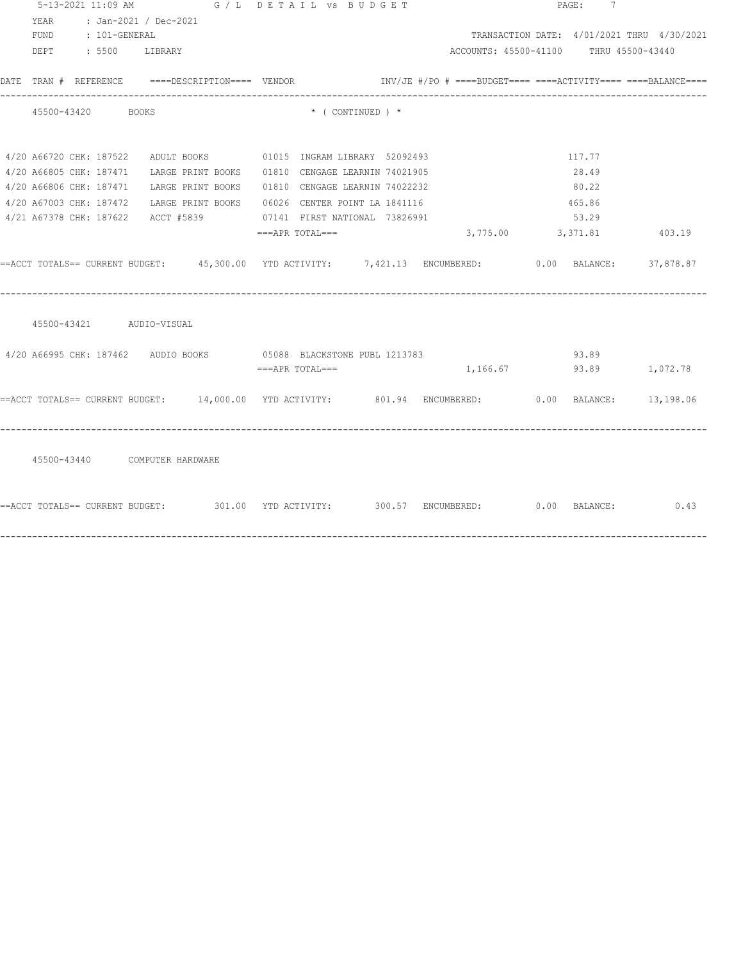|                          | 5-13-2021 11:09 AM G / L DETAIL VS BUDGET                                                            |                                |                                                                 | PAGE: 7 |                                            |
|--------------------------|------------------------------------------------------------------------------------------------------|--------------------------------|-----------------------------------------------------------------|---------|--------------------------------------------|
| YEAR                     | : Jan-2021 / Dec-2021                                                                                |                                |                                                                 |         |                                            |
| FUND : 101-GENERAL       |                                                                                                      |                                |                                                                 |         | TRANSACTION DATE: 4/01/2021 THRU 4/30/2021 |
| DEPT : 5500 LIBRARY      |                                                                                                      |                                | ACCOUNTS: 45500-41100 THRU 45500-43440                          |         |                                            |
|                          |                                                                                                      |                                | $INV/JE$ #/PO # ====BUDGET==== ====ACTIVITY==== ====BALANCE==== |         |                                            |
| 45500-43420 BOOKS        |                                                                                                      | $\star$ ( CONTINUED ) $\star$  |                                                                 |         |                                            |
|                          | 4/20 A66720 CHK: 187522 ADULT BOOKS 01015 INGRAM LIBRARY 52092493                                    |                                |                                                                 | 117.77  |                                            |
|                          | 4/20 A66805 CHK: 187471 LARGE PRINT BOOKS 01810 CENGAGE LEARNIN 74021905                             |                                |                                                                 | 28.49   |                                            |
|                          | 4/20 A66806 CHK: 187471 LARGE PRINT BOOKS                                                            | 01810 CENGAGE LEARNIN 74022232 |                                                                 | 80.22   |                                            |
|                          | 4/20 A67003 CHK: 187472 LARGE PRINT BOOKS 06026 CENTER POINT LA 1841116                              |                                |                                                                 | 465.86  |                                            |
|                          | 4/21 A67378 CHK: 187622 ACCT #5839 07141 FIRST NATIONAL 73826991                                     |                                |                                                                 | 53.29   |                                            |
|                          |                                                                                                      | ===APR TOTAL===                | 3,775.00 3,371.81 403.19                                        |         |                                            |
|                          | ==ACCT TOTALS== CURRENT BUDGET: 45,300.00 YTD ACTIVITY: 7,421.13 ENCUMBERED: 0.00 BALANCE: 37,878.87 |                                |                                                                 |         |                                            |
| 45500-43421 AUDIO-VISUAL |                                                                                                      |                                |                                                                 |         |                                            |
|                          | 4/20 A66995 CHK: 187462 AUDIO BOOKS 65088 BLACKSTONE PUBL 1213783                                    |                                |                                                                 | 93.89   |                                            |
|                          |                                                                                                      | ===APR TOTAL===                | 1, 166.67 93.89 1, 072.78                                       |         |                                            |
|                          | ==ACCT TOTALS== CURRENT BUDGET: 14,000.00 YTD ACTIVITY: 801.94 ENCUMBERED: 0.00 BALANCE: 13,198.06   |                                |                                                                 |         |                                            |
|                          | 45500-43440 COMPUTER HARDWARE                                                                        |                                |                                                                 |         |                                            |
|                          | ==ACCT TOTALS== CURRENT BUDGET: 301.00 TTD ACTIVITY: 300.57 ENCUMBERED: 0.00 BALANCE: 0.43           |                                |                                                                 |         |                                            |
|                          |                                                                                                      |                                |                                                                 |         |                                            |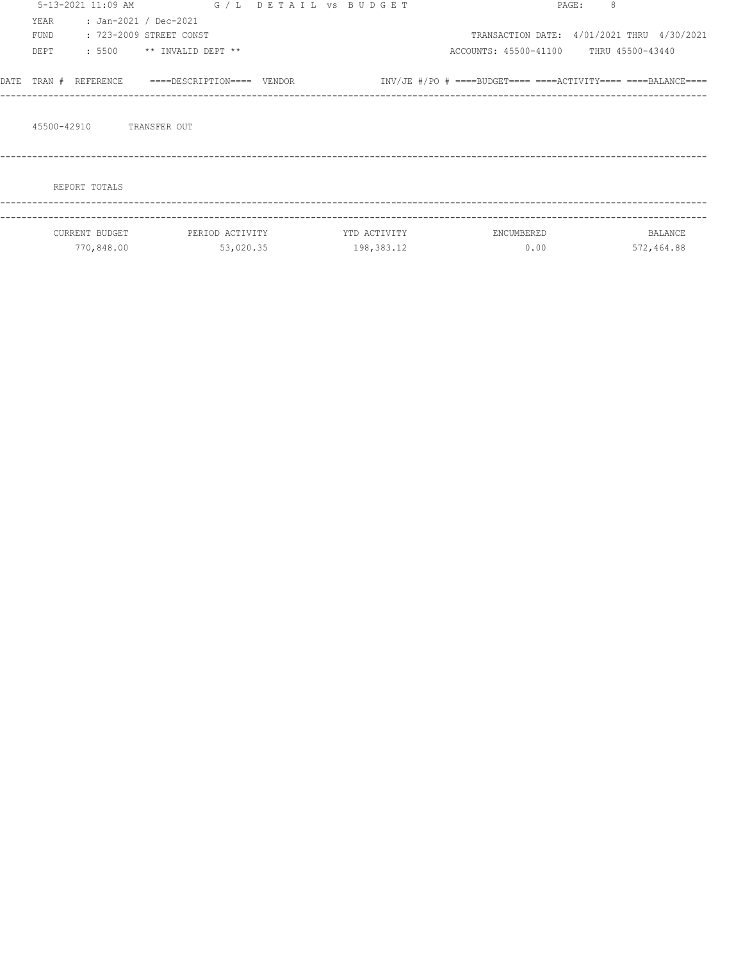|      |             | 5-13-2021 11:09 AM |                            | G / L DETAIL VS BUDGET |              |                                                                 | 8<br>PAGE: |                  |
|------|-------------|--------------------|----------------------------|------------------------|--------------|-----------------------------------------------------------------|------------|------------------|
|      | YEAR        |                    | : Jan-2021 / Dec-2021      |                        |              |                                                                 |            |                  |
|      | FUND        |                    | : 723-2009 STREET CONST    |                        |              | TRANSACTION DATE: 4/01/2021 THRU 4/30/2021                      |            |                  |
|      | DEPT        | : 5500             | ** INVALID DEPT **         |                        |              | ACCOUNTS: 45500-41100                                           |            | THRU 45500-43440 |
| DATE | TRAN #      | REFERENCE          | ====DESCRIPTION==== VENDOR |                        |              | $INV/JE$ #/PO # ====BUDGET==== ====ACTIVITY==== ====BALANCE==== |            |                  |
|      | 45500-42910 |                    | TRANSFER OUT               |                        |              |                                                                 |            |                  |
|      |             | REPORT TOTALS      |                            |                        |              |                                                                 |            |                  |
|      |             | CURRENT BUDGET     | PERIOD ACTIVITY            |                        | YTD ACTIVITY | ENCUMBERED                                                      |            | BALANCE          |
|      |             | 770,848.00         | 53,020.35                  |                        | 198,383.12   | 0.00                                                            |            | 572,464.88       |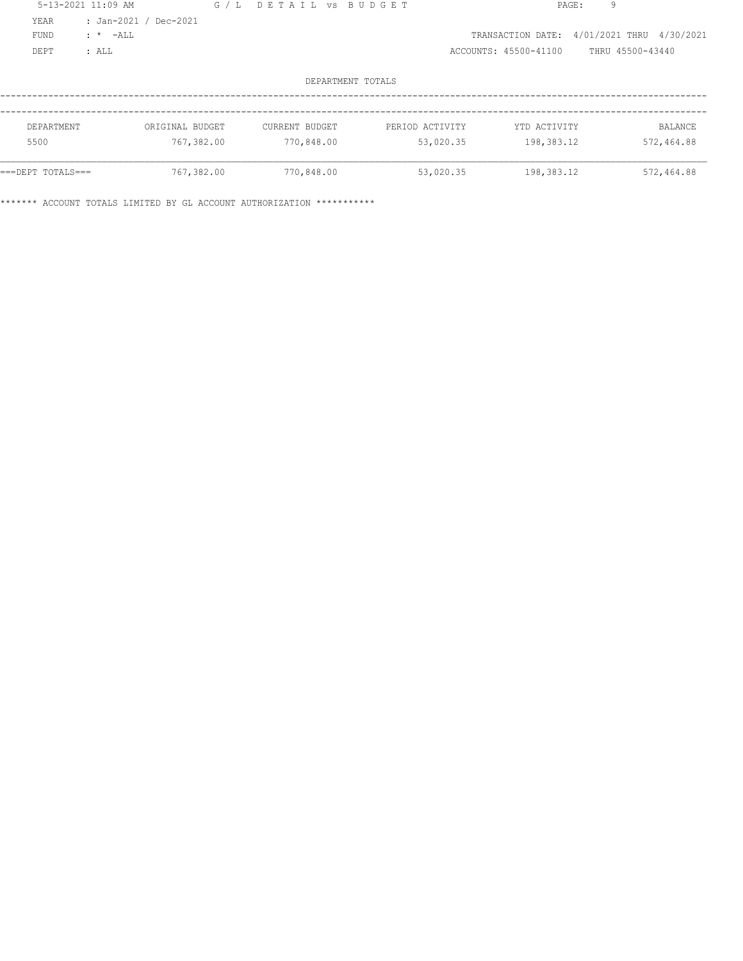| 5-13-2021 11:09 AM |            |                       | G/L | DETAIL VS BUDGET |                   |                       | 9<br>PAGE:               |                |
|--------------------|------------|-----------------------|-----|------------------|-------------------|-----------------------|--------------------------|----------------|
| YEAR               |            | : Jan-2021 / Dec-2021 |     |                  |                   |                       |                          |                |
| <b>FUND</b>        | $: * -ALL$ |                       |     |                  |                   | TRANSACTION DATE:     | 4/01/2021 THRU 4/30/2021 |                |
| DEPT               | : ALL      |                       |     |                  |                   | ACCOUNTS: 45500-41100 | THRU 45500-43440         |                |
|                    |            |                       |     |                  |                   |                       |                          |                |
|                    |            |                       |     |                  | DEPARTMENT TOTALS |                       |                          |                |
|                    |            |                       |     |                  |                   |                       |                          |                |
|                    |            |                       |     |                  |                   |                       |                          |                |
| DEPARTMENT         |            | ORIGINAL BUDGET       |     | CURRENT BUDGET   | PERIOD ACTIVITY   | YTD ACTIVITY          |                          | <b>BALANCE</b> |
| 5500               |            | 767,382.00            |     | 770,848.00       | 53,020.35         | 198,383.12            |                          | 572,464.88     |
|                    |            |                       |     |                  |                   |                       |                          |                |
| ===DEPT TOTALS===  |            | 767,382.00            |     | 770,848.00       | 53,020.35         | 198,383.12            |                          | 572,464.88     |
|                    |            |                       |     |                  |                   |                       |                          |                |

\*\*\*\*\*\*\* ACCOUNT TOTALS LIMITED BY GL ACCOUNT AUTHORIZATION \*\*\*\*\*\*\*\*\*\*\*